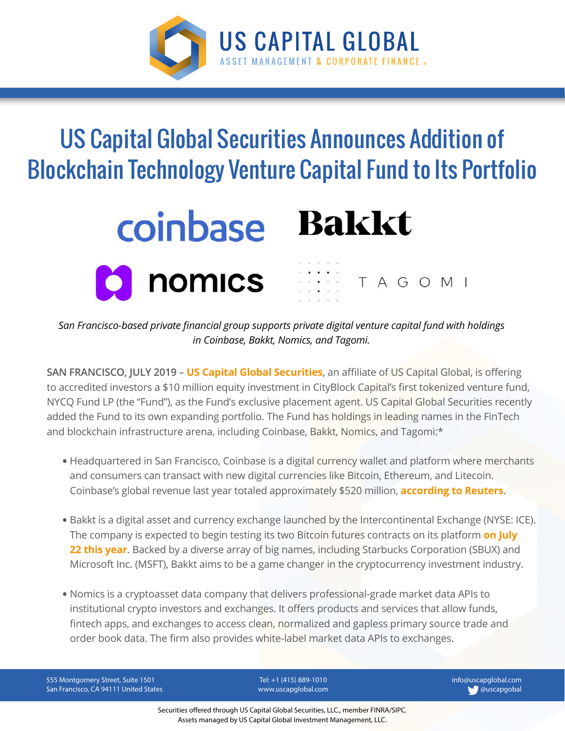

## US Capital Global Securities Announces Addition of Blockchain Technology Venture Capital Fund to Its Portfolio





*San Francisco-based private financial group supports private digital venture capital fund with holdings in Coinbase, Bakkt, Nomics, and Tagomi.*

**SAN FRANCISCO, JULY 2019** – **[US Capital Global Securities](https://www.uscapglobalsecurities.com/)**, an affiliate of US Capital Global, is offering to accredited investors a \$10 million equity investment in CityBlock Capital's first tokenized venture fund, NYCQ Fund LP (the "Fund"), as the Fund's exclusive placement agent. US Capital Global Securities recently added the Fund to its own expanding portfolio. The Fund has holdings in leading names in the FinTech and blockchain infrastructure arena, including Coinbase, Bakkt, Nomics, and Tagomi:\*

- Headquartered in San Francisco, Coinbase is a digital currency wallet and platform where merchants and consumers can transact with new digital currencies like Bitcoin, Ethereum, and Litecoin. Coinbase's global revenue last year totaled approximately \$520 million, **[according to Reuters](https://www.reuters.com/article/us-crypto-currencies-vc/big-corporates-back-crypto-plumbing-despite-currency-caution-idUSKCN1RU0KE)**.
- Bakkt is a digital asset and currency exchange launched by the Intercontinental Exchange (NYSE: ICE). The company is expected to begin testing its two Bitcoin futures contracts on its platform **[on July](https://www.reuters.com/article/us-ice-bakkt-crypto/bakkt-says-bitcoin-futures-testing-to-begin-in-july-idUSKCN1TE2GR)** [22 this year](https://www.reuters.com/article/us-ice-bakkt-crypto/bakkt-says-bitcoin-futures-testing-to-begin-in-july-idUSKCN1TE2GR). Backed by a diverse array of big names, including Starbucks Corporation (SBUX) and Microsoft Inc. (MSFT), Bakkt aims to be a game changer in the cryptocurrency investment industry.
- Nomics is a cryptoasset data company that delivers professional-grade market data APIs to institutional crypto investors and exchanges. It offers products and services that allow funds, fintech apps, and exchanges to access clean, normalized and gapless primary source trade and order book data. The firm also provides white-label market data APIs to exchanges.

555 Montgomery Street, Suite 1501 San Francisco, CA 94111 United States

Tel: +1 (415) 889-1010 www.uscapglobal.com info@uscapglobal.com **C** @uscapgobal

Securities offered through US Capital Global Securities, LLC., member FINRA/SIPC. Assets managed by US Capital Global Investment Management, LLC.